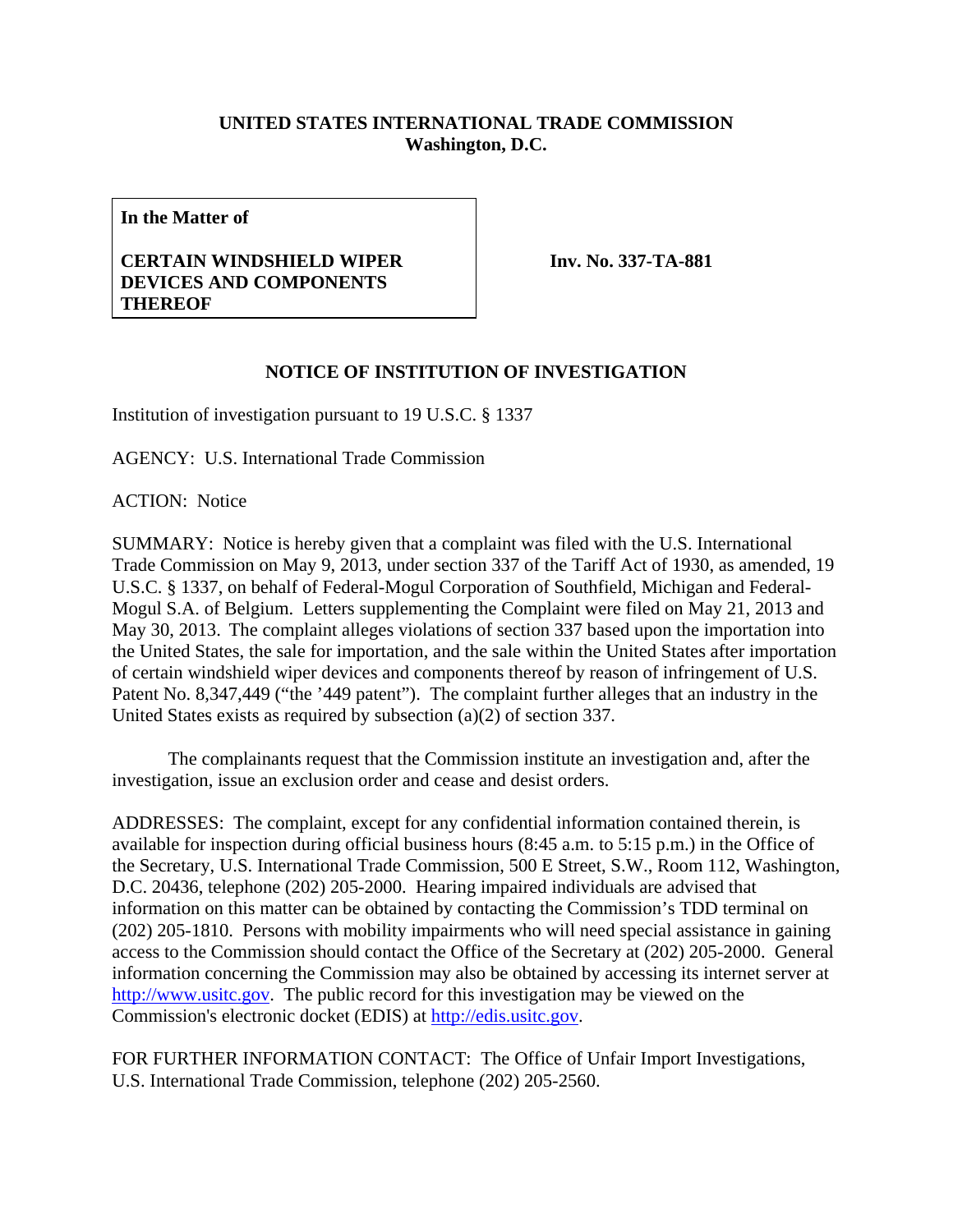## **UNITED STATES INTERNATIONAL TRADE COMMISSION Washington, D.C.**

**In the Matter of** 

## **CERTAIN WINDSHIELD WIPER DEVICES AND COMPONENTS THEREOF**

**Inv. No. 337-TA-881**

## **NOTICE OF INSTITUTION OF INVESTIGATION**

Institution of investigation pursuant to 19 U.S.C. § 1337

AGENCY: U.S. International Trade Commission

ACTION: Notice

SUMMARY: Notice is hereby given that a complaint was filed with the U.S. International Trade Commission on May 9, 2013, under section 337 of the Tariff Act of 1930, as amended, 19 U.S.C. § 1337, on behalf of Federal-Mogul Corporation of Southfield, Michigan and Federal-Mogul S.A. of Belgium. Letters supplementing the Complaint were filed on May 21, 2013 and May 30, 2013. The complaint alleges violations of section 337 based upon the importation into the United States, the sale for importation, and the sale within the United States after importation of certain windshield wiper devices and components thereof by reason of infringement of U.S. Patent No. 8,347,449 ("the '449 patent"). The complaint further alleges that an industry in the United States exists as required by subsection (a)(2) of section 337.

 The complainants request that the Commission institute an investigation and, after the investigation, issue an exclusion order and cease and desist orders.

ADDRESSES: The complaint, except for any confidential information contained therein, is available for inspection during official business hours (8:45 a.m. to 5:15 p.m.) in the Office of the Secretary, U.S. International Trade Commission, 500 E Street, S.W., Room 112, Washington, D.C. 20436, telephone (202) 205-2000. Hearing impaired individuals are advised that information on this matter can be obtained by contacting the Commission's TDD terminal on (202) 205-1810. Persons with mobility impairments who will need special assistance in gaining access to the Commission should contact the Office of the Secretary at (202) 205-2000. General information concerning the Commission may also be obtained by accessing its internet server at http://www.usitc.gov. The public record for this investigation may be viewed on the Commission's electronic docket (EDIS) at http://edis.usitc.gov.

FOR FURTHER INFORMATION CONTACT: The Office of Unfair Import Investigations, U.S. International Trade Commission, telephone (202) 205-2560.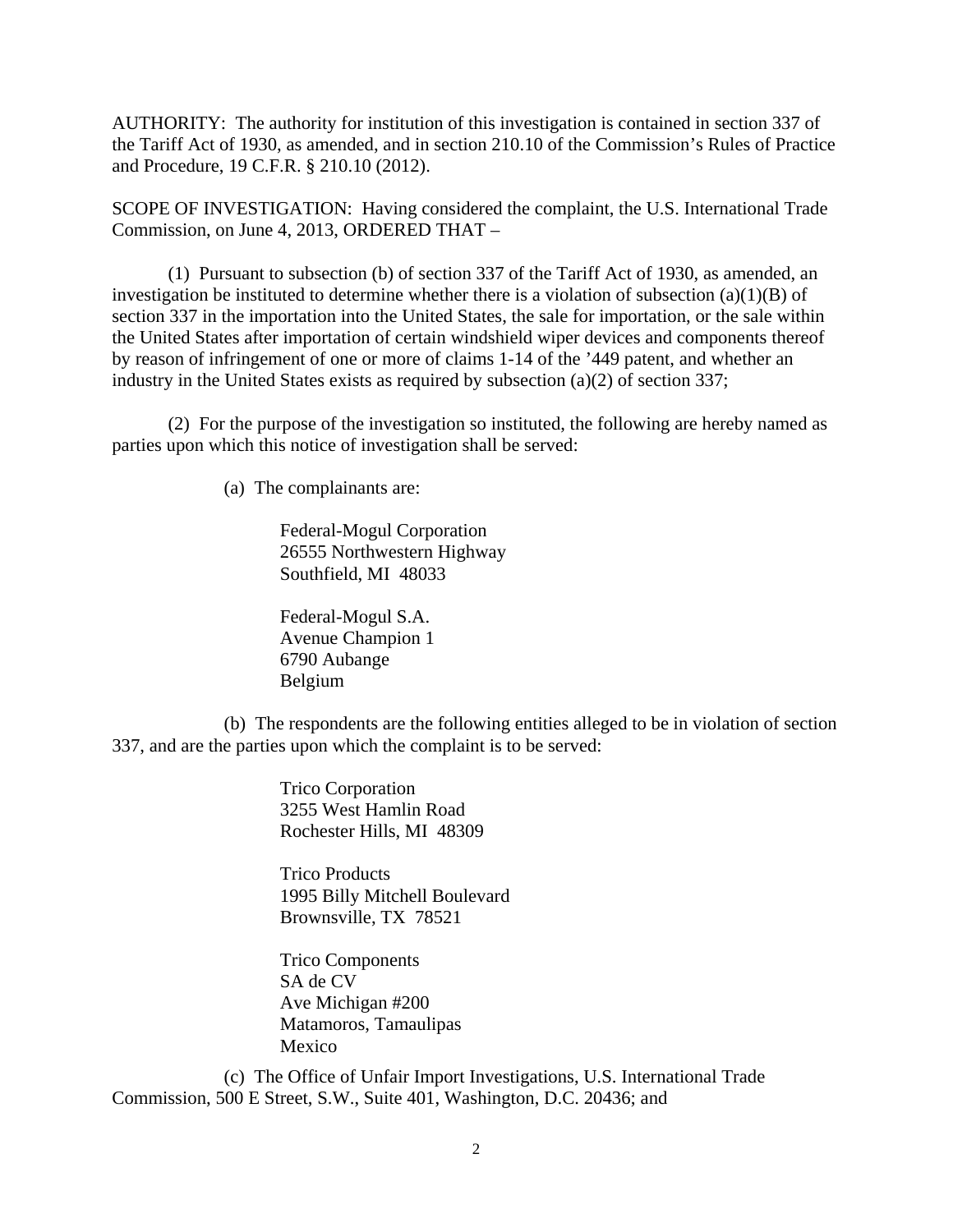AUTHORITY: The authority for institution of this investigation is contained in section 337 of the Tariff Act of 1930, as amended, and in section 210.10 of the Commission's Rules of Practice and Procedure, 19 C.F.R. § 210.10 (2012).

SCOPE OF INVESTIGATION: Having considered the complaint, the U.S. International Trade Commission, on June 4, 2013, ORDERED THAT –

 (1) Pursuant to subsection (b) of section 337 of the Tariff Act of 1930, as amended, an investigation be instituted to determine whether there is a violation of subsection  $(a)(1)(B)$  of section 337 in the importation into the United States, the sale for importation, or the sale within the United States after importation of certain windshield wiper devices and components thereof by reason of infringement of one or more of claims 1-14 of the '449 patent, and whether an industry in the United States exists as required by subsection (a)(2) of section 337;

 (2) For the purpose of the investigation so instituted, the following are hereby named as parties upon which this notice of investigation shall be served:

(a) The complainants are:

Federal-Mogul Corporation 26555 Northwestern Highway Southfield, MI 48033

Federal-Mogul S.A. Avenue Champion 1 6790 Aubange Belgium

 (b) The respondents are the following entities alleged to be in violation of section 337, and are the parties upon which the complaint is to be served:

> Trico Corporation 3255 West Hamlin Road Rochester Hills, MI 48309

 Trico Products 1995 Billy Mitchell Boulevard Brownsville, TX 78521

 Trico Components SA de CV Ave Michigan #200 Matamoros, Tamaulipas Mexico

 (c) The Office of Unfair Import Investigations, U.S. International Trade Commission, 500 E Street, S.W., Suite 401, Washington, D.C. 20436; and